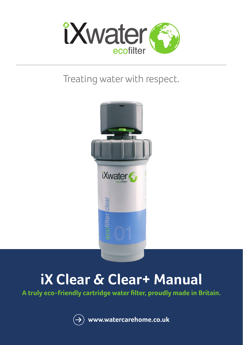

## Treating water with respect.



# **iX Clear & Clear+ Manual**

**A truly eco-friendly cartridge water filter, proudly made in Britain.**

**www.watercarehome.co.uk**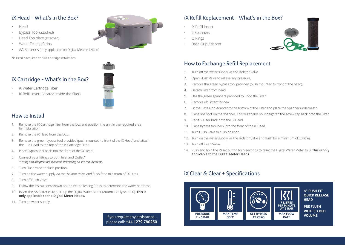#### iX Head - What's in the Box?

- Head
- Bypass Tool (attached)
- Head Top plate (attached)
- Water Testing Strips
- AA Batteries (only applicable on Digital Metered Head)

\*iX Head is required on all iX Cartridge installations





#### iX Refill Insert (located inside the filter)

• iX Water Cartridge Filter

#### How to Install

- 1. Remove the iX Cartridge filter from the box and position the unit in the required area for installation.
- 2. Remove the iX Head from the box.
- 3. Remove the green bypass tool provided (push mounted to front of the iX Head) and attach the iX Head to the top of the iX Cartridge Filter.
- 4. Place Bypass tool back into the front of the iX Head.
- 5. Connect your fittings to both Inlet and Outlet\* *\*Fitting and adapters are available depending on site requirements.*
- 6. Turn Flush Valve to flush position.
- 7. Turn on the water supply via the Isolator Valve and flush for a minimum of 20 litres.
- 8. Turn off Flush Valve.
- 9. Follow the instructions shown on the Water Testing Strips to determine the water hardness.
- 10. Insert the AA Batteries to start up the Digital Water Meter (Automatically set to 0). **This is only applicable to the Digital Meter Heads.**
- 11. Turn on water supply.

If you require any assistance... please call: **+44 1279 780250**

#### iX Refill Replacement - What's in the Box?

- iX Refill Insert
- 2 Spanners
- O Rings
- Base Grip Adapter



#### How to Exchange Refill Replacement

- 1. Turn off the water supply via the Isolator Valve.
- 2. Open Flush Valve to relieve any pressure.
- 3. Remove the green bypass tool provided (push mounted to front of the head).
- 4. Detach Filter from head.
- 5. Use the green spanners provided to undo the Filter.
- 6. Remove old insert for new.
- 7. Fit the Base Grip Adapter to the bottom of the Filter and place the Spanner underneath.
- 8. Place one foot on the spanner. This will enable you to tighten the screw cap back onto the Filter.
- 9. Re-fit iX Filter back onto the iX Head.
- 10. Place Bypass tool back into the front of the iX Head.
- 11. Turn Flush Valve to flush position.
- 12. Turn on the water supply via the Isolator Valve and flush for a minimum of 20 litres.
- 13. Turn off Flush Valve.
- 14. Push and hold the Reset button for 5 seconds to reset the Digital Water Meter to 0. **This is only applicable to the Digital Meter Heads.**

### iX Clear & Clear + Specifications